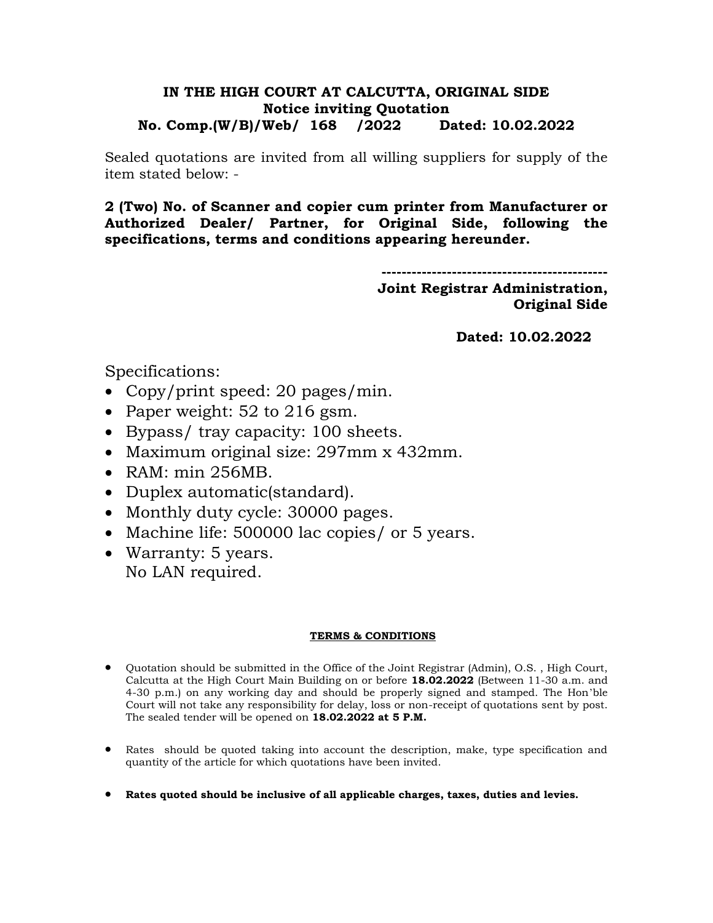## **IN THE HIGH COURT AT CALCUTTA, ORIGINAL SIDE Notice inviting Quotation No. Comp.(W/B)/Web/ 168 /2022 Dated: 10.02.2022**

Sealed quotations are invited from all willing suppliers for supply of the item stated below: -

**2 (Two) No. of Scanner and copier cum printer from Manufacturer or Authorized Dealer/ Partner, for Original Side, following the specifications, terms and conditions appearing hereunder.**

> **--------------------------------------------- Joint Registrar Administration, Original Side**

> > **Dated: 10.02.2022**

Specifications:

- Copy/print speed: 20 pages/min.
- Paper weight:  $52$  to  $216$  gsm.
- Bypass/ tray capacity: 100 sheets.
- Maximum original size: 297mm x 432mm.
- RAM: min 256MB.
- Duplex automatic (standard).
- Monthly duty cycle: 30000 pages.
- Machine life: 500000 lac copies/ or 5 years.
- Warranty: 5 years. No LAN required.

## **TERMS & CONDITIONS**

- Quotation should be submitted in the Office of the Joint Registrar (Admin), O.S. , High Court, Calcutta at the High Court Main Building on or before **18.02.2022** (Between 11-30 a.m. and 4-30 p.m.) on any working day and should be properly signed and stamped. The Hon'ble Court will not take any responsibility for delay, loss or non-receipt of quotations sent by post. The sealed tender will be opened on **18.02.2022 at 5 P.M.**
- Rates should be quoted taking into account the description, make, type specification and quantity of the article for which quotations have been invited.
- **Rates quoted should be inclusive of all applicable charges, taxes, duties and levies.**